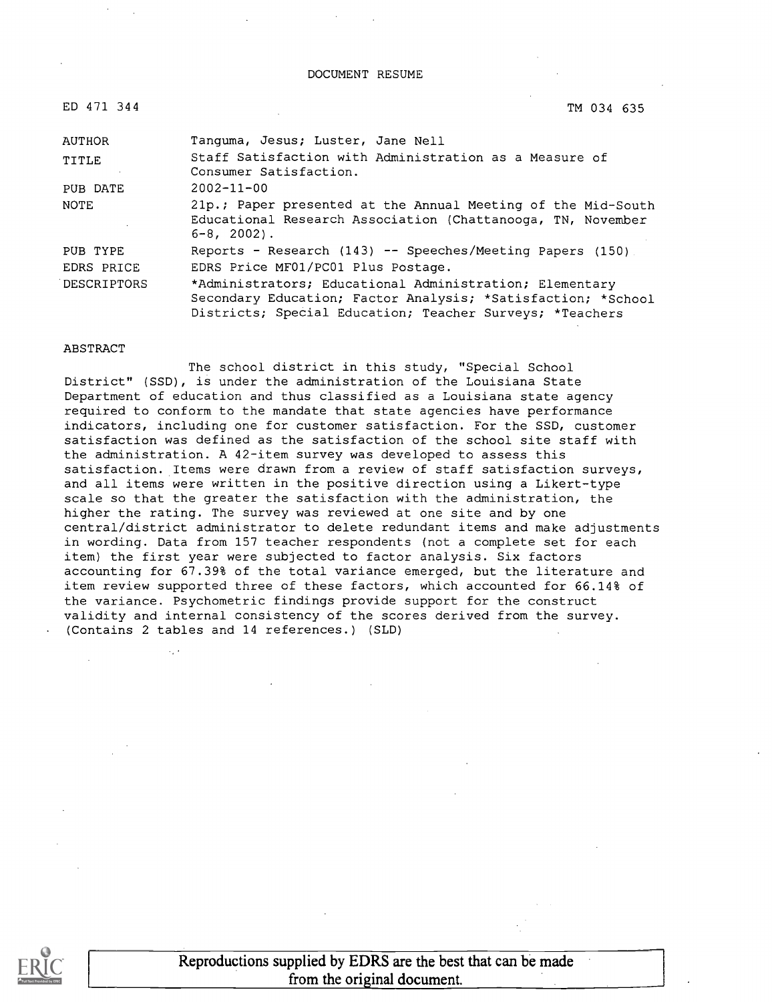#### DOCUMENT RESUME

| ED 471 344         | TM 034 635                                                                                                                                                                          |
|--------------------|-------------------------------------------------------------------------------------------------------------------------------------------------------------------------------------|
| <b>AUTHOR</b>      | Tanguma, Jesus; Luster, Jane Nell                                                                                                                                                   |
| TITLE              | Staff Satisfaction with Administration as a Measure of<br>Consumer Satisfaction.                                                                                                    |
| PUB DATE           | $2002 - 11 - 00$                                                                                                                                                                    |
| NOTE               | 21p.; Paper presented at the Annual Meeting of the Mid-South<br>Educational Research Association (Chattanooga, TN, November<br>$6 - 8$ , 2002).                                     |
| PUB TYPE           | Reports - Research $(143)$ -- Speeches/Meeting Papers $(150)$ .                                                                                                                     |
| EDRS PRICE         | EDRS Price MF01/PC01 Plus Postage.                                                                                                                                                  |
| <b>DESCRIPTORS</b> | *Administrators; Educational Administration; Elementary<br>Secondary Education; Factor Analysis; *Satisfaction; *School<br>Districts; Special Education; Teacher Surveys; *Teachers |

#### ABSTRACT

 $\mathcal{L}_{\mathcal{L}}$  .

The school district in this study, "Special School District" (SSD), is under the administration of the Louisiana State Department of education and thus classified as a Louisiana state agency required to conform to the mandate that state agencies have performance indicators, including one for customer satisfaction. For the SSD, customer satisfaction was defined as the satisfaction of the school site staff with the administration. A 42-item survey was developed to assess this satisfaction. Items were drawn from a review of staff satisfaction surveys, and all items were written in the positive direction using a Likert-type scale so that the greater the satisfaction with the administration, the higher the rating. The survey was reviewed at one site and by one central/district administrator to delete redundant items and make adjustments in wording. Data from 157 teacher respondents (not a complete set for each item) the first year were subjected to factor analysis. Six factors accounting for 67.39% of the total variance emerged, but the literature and item review supported three of these factors, which accounted for 66.14% of the variance. Psychometric findings provide support for the construct validity and internal consistency of the scores derived from the survey. (Contains 2 tables and 14 references.) (SLD)

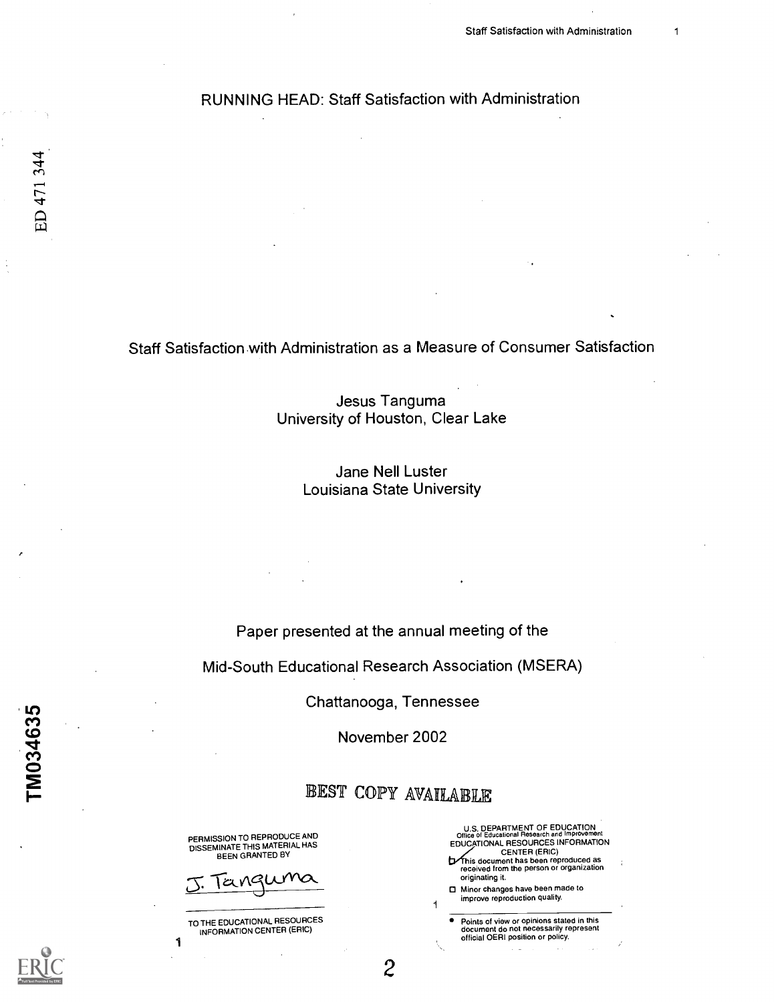Staff Satisfaction with Administration as a Measure of Consumer Satisfaction

Jesus Tanguma University of Houston, Clear Lake

> Jane Nell Luster Louisiana State University

Paper presented at the annual meeting of the

Mid-South Educational Research Association (MSERA)

Chattanooga, Tennessee

November 2002

## EST COPY AVAILABLE

2

PERMISSION TO REPRODUCE AND<br>DISSEMINATE THIS MATERIAL HAS BEEN GRANTED BY



TO THE EDUCATIONAL RESOURCES INFORMATION CENTER (ERIC)

1



Points of view or opinions stated in this document do not necessarily represent official OERI position or policy.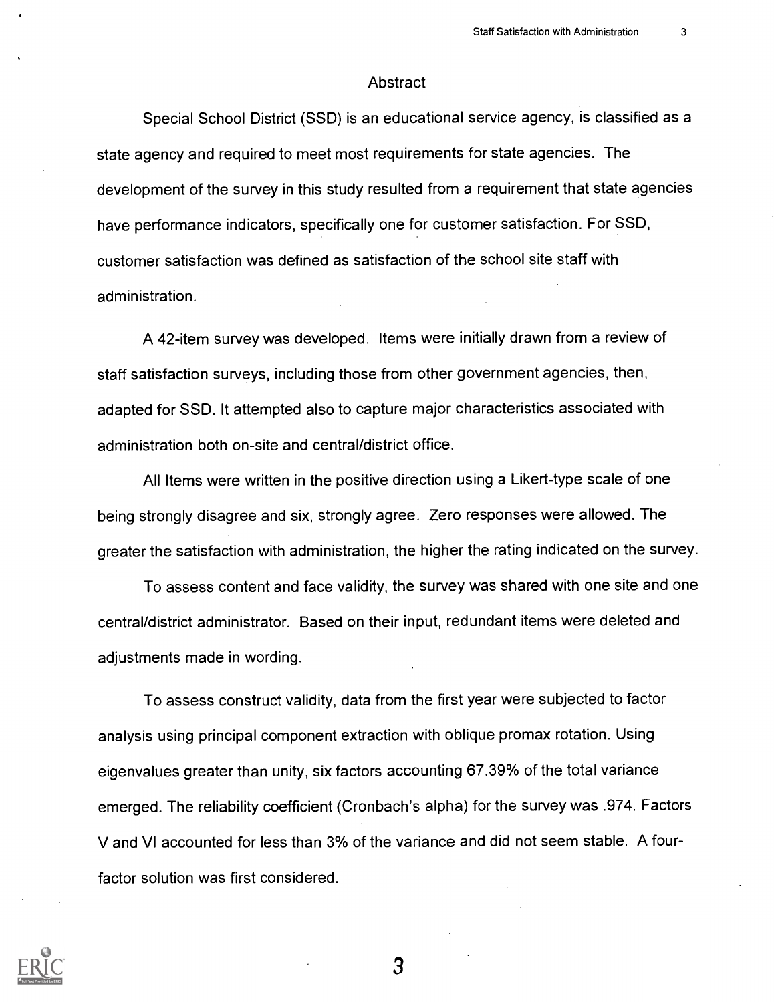#### **Abstract**

Special School District (SSD) is an educational service agency, is classified as a state agency and required to meet most requirements for state agencies. The development of the survey in this study resulted from a requirement that state agencies have performance indicators, specifically one for customer satisfaction. For SSD, customer satisfaction was defined as satisfaction of the school site staff with administration.

A 42-item survey was developed. Items were initially drawn from a review of staff satisfaction surveys, including those from other government agencies, then, adapted for SSD. It attempted also to capture major characteristics associated with administration both on-site and central/district office.

All Items were written in the positive direction using a Likert-type scale of one being strongly disagree and six, strongly agree. Zero responses were allowed. The greater the satisfaction with administration, the higher the rating indicated on the survey.

To assess content and face validity, the survey was shared with one site and one central/district administrator. Based on their input, redundant items were deleted and adjustments made in wording.

To assess construct validity, data from the first year were subjected to factor analysis using principal component extraction with oblique promax rotation. Using eigenvalues greater than unity, six factors accounting 67.39% of the total variance emerged. The reliability coefficient (Cronbach's alpha) for the survey was .974. Factors V and VI accounted for less than 3% of the variance and did not seem stable. A fourfactor solution was first considered.

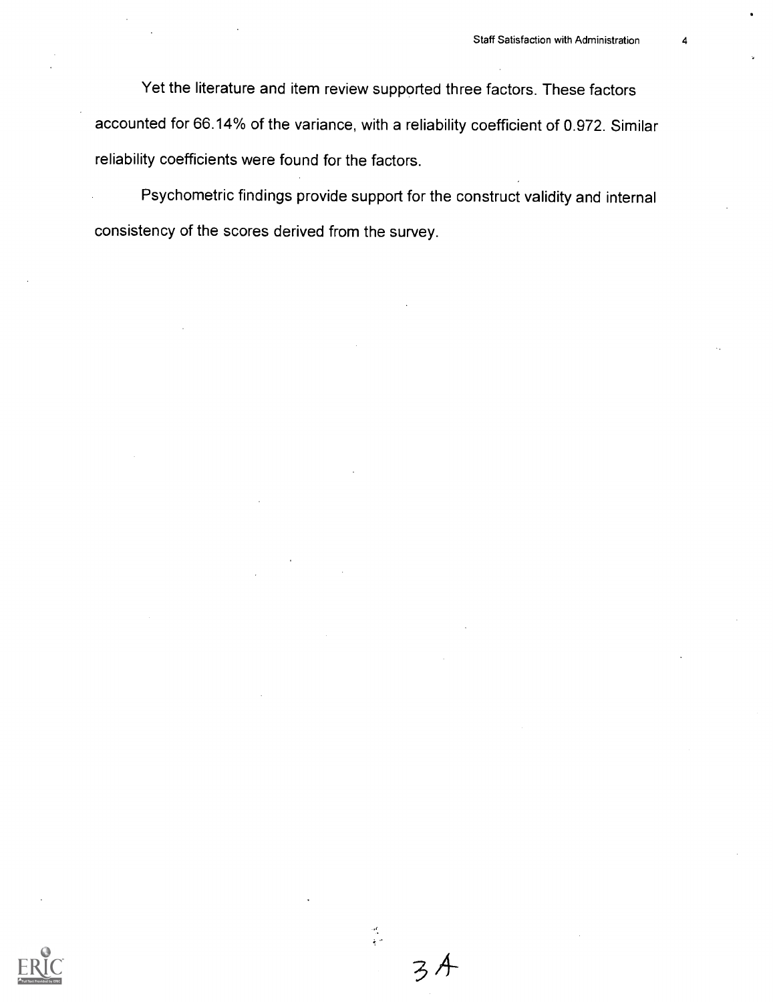Yet the literature and item review supported three factors. These factors accounted for 66.14% of the variance, with a reliability coefficient of 0.972. Similar reliability coefficients were found for the factors.

Psychometric findings provide support for the construct validity and internal consistency of the scores derived from the survey.



武<br>全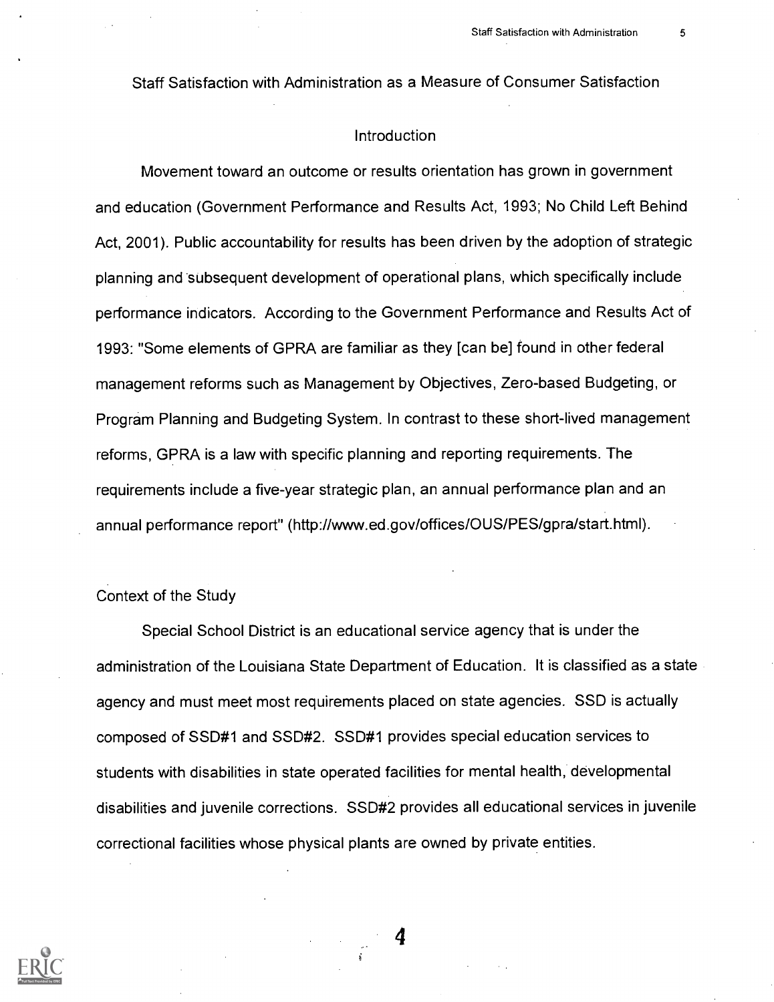Staff Satisfaction with Administration as a Measure of Consumer Satisfaction

### Introduction

Movement toward an outcome or results orientation has grown in government and education (Government Performance and Results Act, 1993; No Child Left Behind Act, 2001). Public accountability for results has been driven by the adoption of strategic planning and subsequent development of operational plans, which specifically include performance indicators. According to the Government Performance and Results Act of 1993: "Some elements of GPRA are familiar as they [can be] found in other federal management reforms such as Management by Objectives, Zero-based Budgeting, or Program Planning and Budgeting System. In contrast to these short-lived management reforms, GPRA is a law with specific planning and reporting requirements. The requirements include a five-year strategic plan, an annual performance plan and an annual performance report" (http://www.ed.gov/offices/OUS/PES/gpra/start.html).

#### Context of the Study

Special School District is an educational service agency that is under the administration of the Louisiana State Department of Education. It is classified as a state agency and must meet most requirements placed on state agencies. SSD is actually composed of SSD#1 and SSD#2. SSD#1 provides special education services to students with disabilities in state operated facilities for mental health, developmental disabilities and juvenile corrections. SSD#2 provides all educational services in juvenile correctional facilities whose physical plants are owned by private entities.

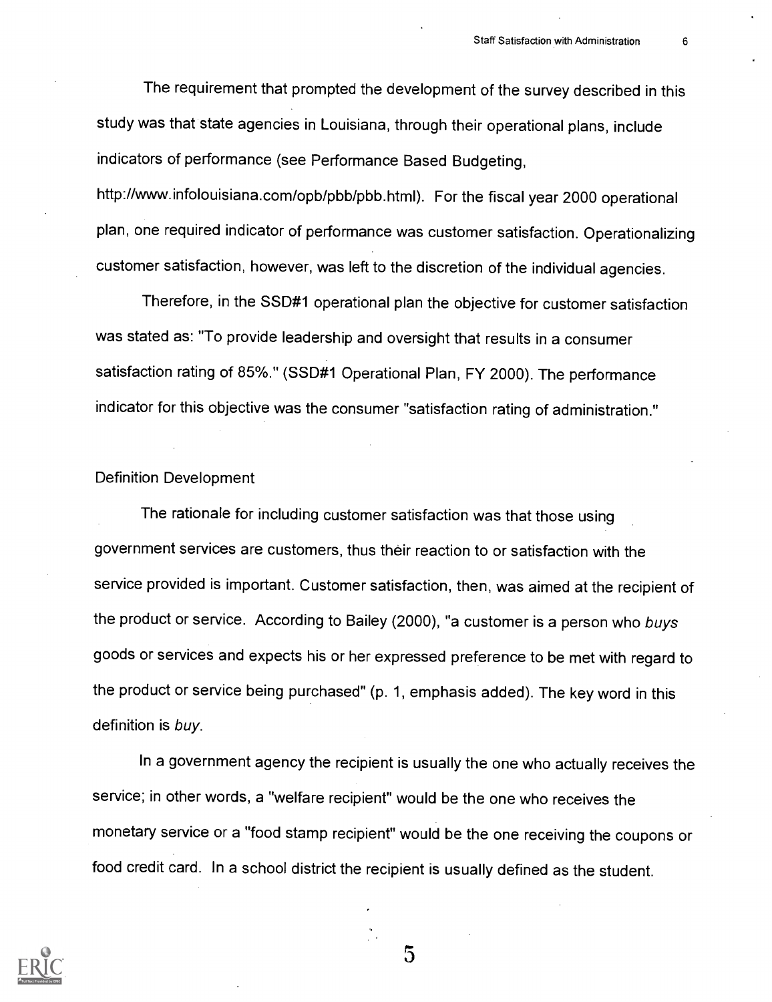The requirement that prompted the development of the survey described in this study was that state agencies in Louisiana, through their operational plans, include indicators of performance (see Performance Based Budgeting,

http://www.infolouisiana.com/opb/pbb/pbb.html). For the fiscal year 2000 operational plan, one required indicator of performance was customer satisfaction. Operationalizing customer satisfaction, however, was left to the discretion of the individual agencies.

Therefore, in the SSD#1 operational plan the objective for customer satisfaction was stated as: "To provide leadership and oversight that results in a consumer satisfaction rating of 85%." (SSD#1 Operational Plan, FY 2000). The performance indicator for this objective was the consumer "satisfaction rating of administration."

### Definition Development

The rationale for including customer satisfaction was that those using government services are customers, thus their reaction to or satisfaction with the service provided is important. Customer satisfaction, then, was aimed at the recipient of the product or service. According to Bailey (2000), "a customer is a person who buys goods or services and expects his or her expressed preference to be met with regard to the product or service being purchased" (p. 1, emphasis added). The key word in this definition is buy.

In a government agency the recipient is usually the one who actually receives the service; in other words, a "welfare recipient" would be the one who receives the monetary service or a "food stamp recipient" would be the one receiving the coupons or food credit card. In a school district the recipient is usually defined as the student.

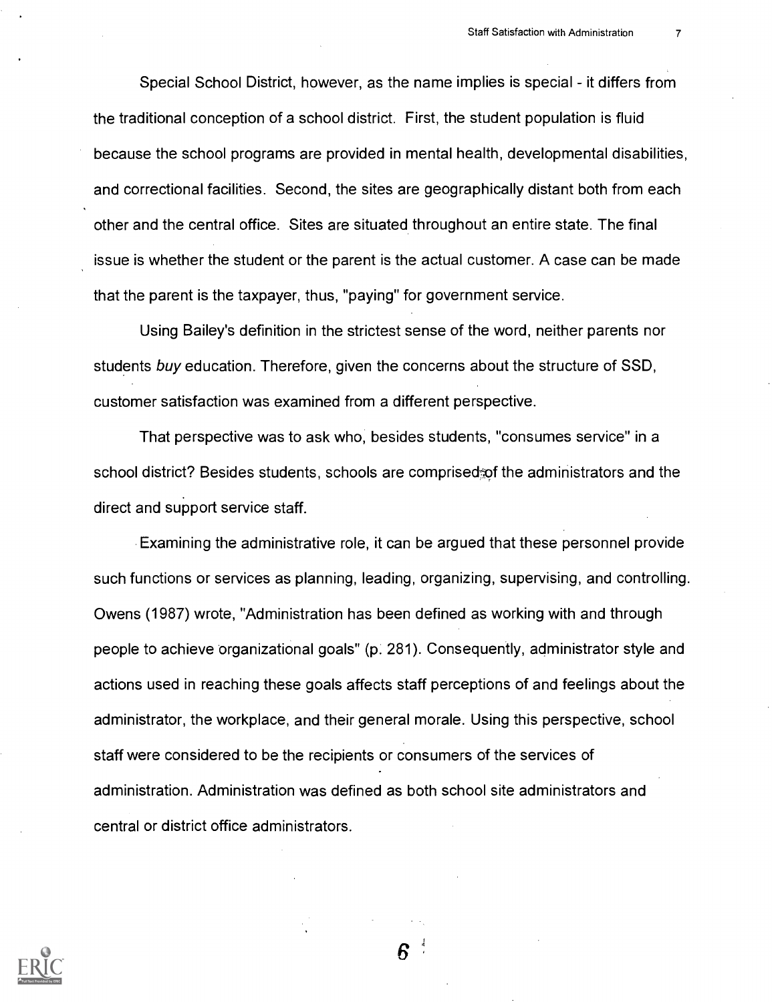Special School District, however, as the name implies is special - it differs from the traditional conception of a school district. First, the student population is fluid because the school programs are provided in mental health, developmental disabilities, and correctional facilities. Second, the sites are geographically distant both from each other and the central office. Sites are situated throughout an entire state. The final issue is whether the student or the parent is the actual customer. A case can be made that the parent is the taxpayer, thus, "paying" for government service.

Using Bailey's definition in the strictest sense of the word, neither parents nor students buy education. Therefore, given the concerns about the structure of SSD, customer satisfaction was examined from a different perspective.

That perspective was to ask who, besides students, "consumes service" in a school district? Besides students, schools are comprised of the administrators and the direct and support service staff.

Examining the administrative role, it can be argued that these personnel provide such functions or services as planning, leading, organizing, supervising, and controlling. Owens (1987) wrote, "Administration has been defined as working with and through people to achieve organizational goals" (p. 281). Consequently, administrator style and actions used in reaching these goals affects staff perceptions of and feelings about the administrator, the workplace, and their general morale. Using this perspective, school staff were considered to be the recipients or consumers of the services of administration. Administration was defined as both school site administrators and central or district office administrators.

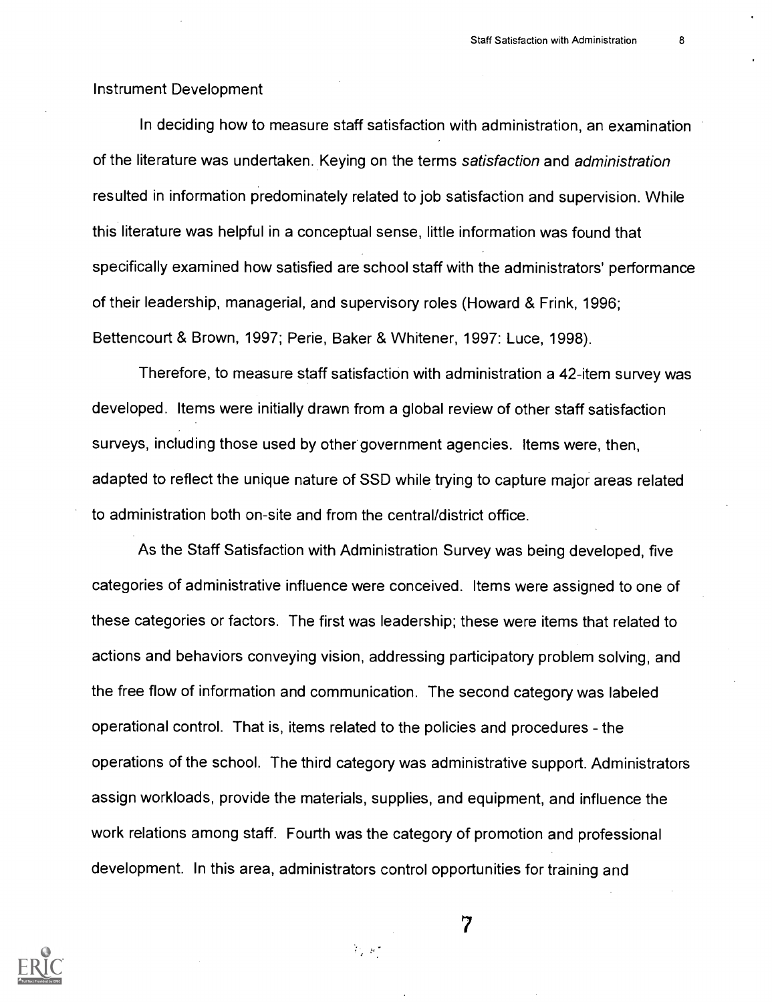#### Instrument Development

In deciding how to measure staff satisfaction with administration, an examination of the literature was undertaken. Keying on the terms satisfaction and administration resulted in information predominately related to job satisfaction and supervision. While this literature was helpful in a conceptual sense, little information was found that specifically examined how satisfied are school staff with the administrators' performance of their leadership, managerial, and supervisory roles (Howard & Frink, 1996; Bettencourt & Brown, 1997; Perie, Baker & Whitener, 1997: Luce, 1998).

Therefore, to measure staff satisfaction with administration a 42-item survey was developed. Items were initially drawn from a global review of other staff satisfaction surveys, including those used by other government agencies. Items were, then, adapted to reflect the unique nature of SSD while trying to capture major areas related to administration both on-site and from the central/district office.

As the Staff Satisfaction with Administration Survey was being developed, five categories of administrative influence were conceived. Items were assigned to one of these categories or factors. The first was leadership; these were items that related to actions and behaviors conveying vision, addressing participatory problem solving, and the free flow of information and communication. The second category was labeled operational control. That is, items related to the policies and procedures - the operations of the school. The third category was administrative support. Administrators assign workloads, provide the materials, supplies, and equipment, and influence the work relations among staff. Fourth was the category of promotion and professional development. In this area, administrators control opportunities for training and

 $\mathcal{P}_\mathrm{c} \in \mathbb{R}^3$ 

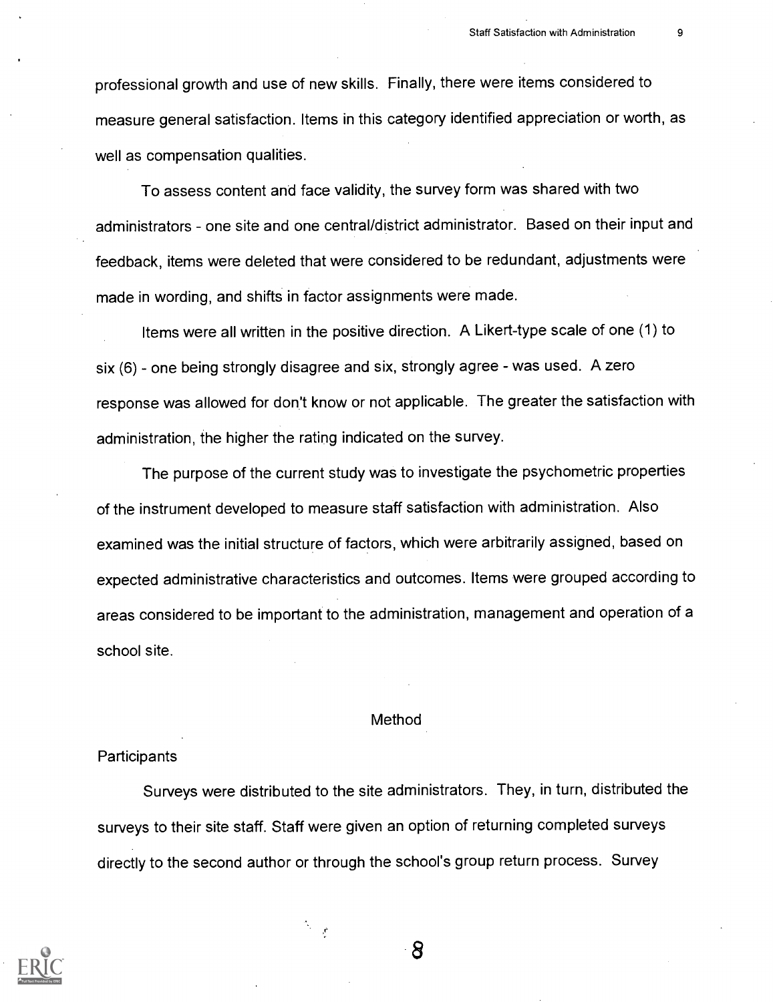professional growth and use of new skills. Finally, there were items considered to measure general satisfaction. Items in this category identified appreciation or worth, as well as compensation qualities.

To assess content and face validity, the survey form was shared with two administrators - one site and one central/district administrator. Based on their input and feedback, items were deleted that were considered to be redundant, adjustments were made in wording, and shifts in factor assignments were made.

Items were all written in the positive direction. A Likert-type scale of one (1) to six (6) - one being strongly disagree and six, strongly agree - was used. A zero response was allowed for don't know or not applicable. The greater the satisfaction with administration, the higher the rating indicated on the survey.

The purpose of the current study was to investigate the psychometric properties of the instrument developed to measure staff satisfaction with administration. Also examined was the initial structure of factors, which were arbitrarily assigned, based on expected administrative characteristics and outcomes. Items were grouped according to areas considered to be important to the administration, management and operation of a school site.

#### Method

#### **Participants**

Surveys were distributed to the site administrators. They, in turn, distributed the surveys to their site staff. Staff were given an option of returning completed surveys directly to the second author or through the school's group return process. Survey

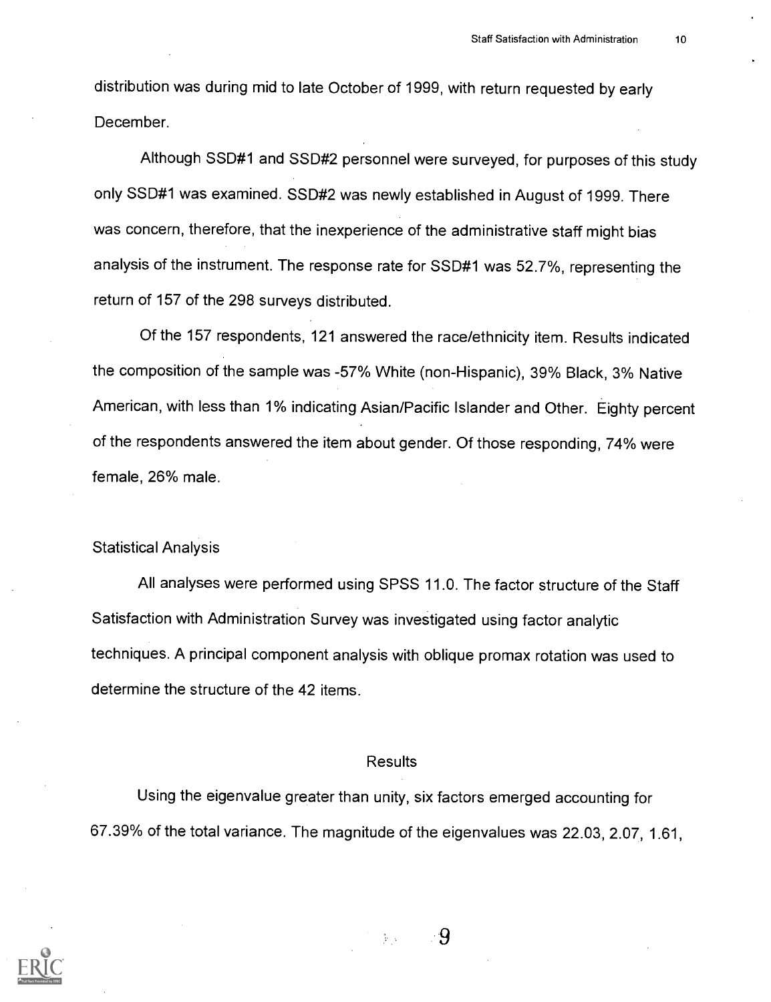distribution was during mid to late October of 1999, with return requested by early December.

Although SSD#1 and SSD#2 personnel were surveyed, for purposes of this study only SSD#1 was examined. SSD#2 was newly established in August of 1999. There was concern, therefore, that the inexperience of the administrative staff might bias analysis of the instrument. The response rate for SSD#1 was 52.7%, representing the return of 157 of the 298 surveys distributed.

Of the 157 respondents, 121 answered the race/ethnicity item. Results indicated the composition of the sample was -57% White (non-Hispanic), 39% Black, 3% Native American, with less than 1% indicating Asian/Pacific Islander and Other. Eighty percent of the respondents answered the item about gender. Of those responding, 74% were female, 26% male.

### Statistical Analysis

All analyses were performed using SPSS 11.0. The factor structure of the Staff Satisfaction with Administration Survey was investigated using factor analytic techniques. A principal component analysis with oblique promax rotation was used to determine the structure of the 42 items.

### Results

Using the eigenvalue greater than unity, six factors emerged accounting for 67.39% of the total variance. The magnitude of the eigenvalues was 22.03, 2.07, 1.61,



 $\frac{1}{2} \epsilon_{\perp}$  .

-9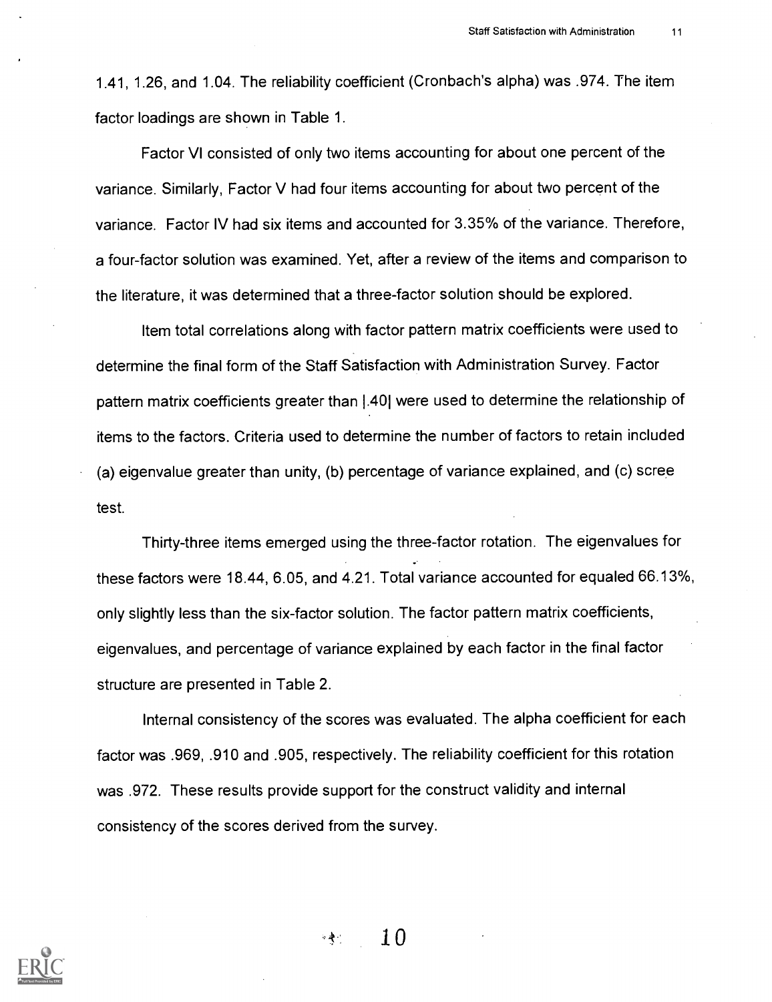1.41, 1.26, and 1.04. The reliability coefficient (Cronbach's alpha) was .974. The item factor loadings are shown in Table 1.

Factor VI consisted of only two items accounting for about one percent of the variance. Similarly, Factor V had four items accounting for about two percent of the variance. Factor IV had six items and accounted for 3.35% of the variance. Therefore, a four-factor solution was examined. Yet, after a review of the items and comparison to the literature, it was determined that a three-factor solution should be explored.

Item total correlations along with factor pattern matrix coefficients were used to determine the final form of the Staff Satisfaction with Administration Survey. Factor pattern matrix coefficients greater than 1.401 were used to determine the relationship of items to the factors. Criteria used to determine the number of factors to retain included (a) eigenvalue greater than unity, (b) percentage of variance explained, and (c) scree test.

Thirty-three items emerged using the three-factor rotation. The eigenvalues for these factors were 18.44, 6.05, and 4.21. Total variance accounted for equaled 66.13%, only slightly less than the six-factor solution. The factor pattern matrix coefficients, eigenvalues, and percentage of variance explained by each factor in the final factor structure are presented in Table 2.

Internal consistency of the scores was evaluated. The alpha coefficient for each factor was .969, .910 and .905, respectively. The reliability coefficient for this rotation was .972. These results provide support for the construct validity and internal consistency of the scores derived from the survey.



 $-2$  10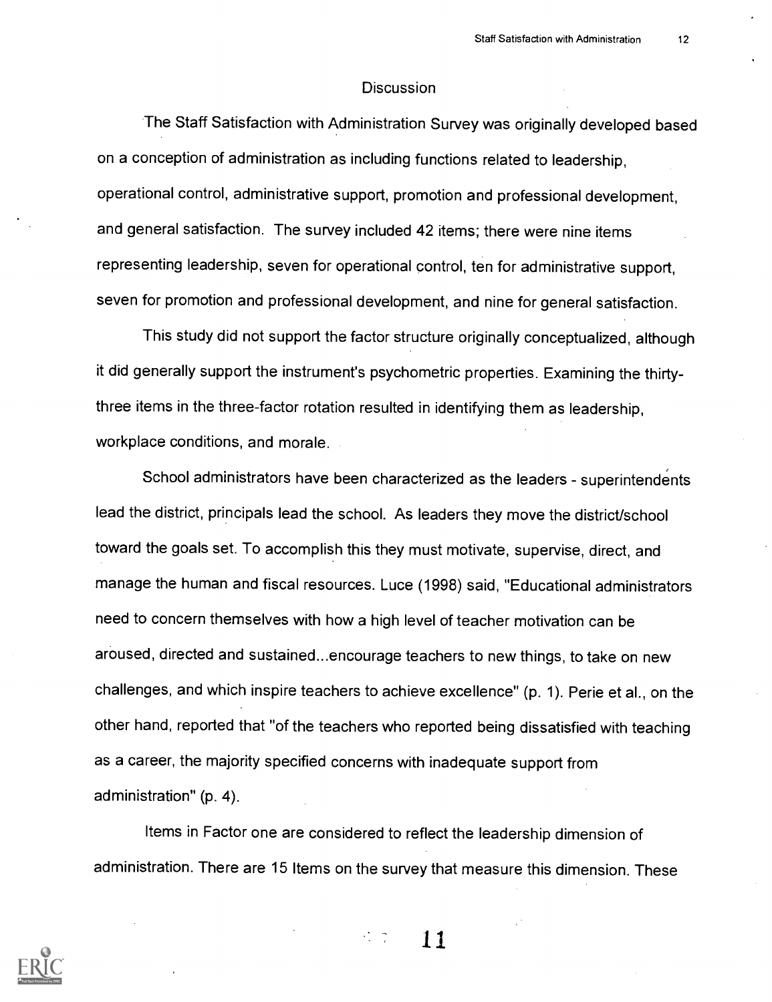#### **Discussion**

The Staff Satisfaction with Administration Survey was originally developed based on a conception of administration as including functions related to leadership, operational control, administrative support, promotion and professional development, and general satisfaction. The survey included 42 items; there were nine items representing leadership, seven for operational control, ten for administrative support, seven for promotion and professional development, and nine for general satisfaction.

This study did not support the factor structure originally conceptualized, although it did generally support the instrument's psychometric properties. Examining the thirtythree items in the three-factor rotation resulted in identifying them as leadership, workplace conditions, and morale.

School administrators have been characterized as the leaders - superintendents lead the district, principals lead the school. As leaders they move the district/school toward the goals set. To accomplish this they must motivate, supervise, direct, and manage the human and fiscal resources. Luce (1998) said, "Educational administrators need to concern themselves with how a high level of teacher motivation can be aroused, directed and sustained...encourage teachers to new things, to take on new challenges, and which inspire teachers to achieve excellence" (p. 1). Perie et al., on the other hand, reported that "of the teachers who reported being dissatisfied with teaching as a career, the majority specified concerns with inadequate support from administration" (p. 4).

Items in Factor one are considered to reflect the leadership dimension of administration. There are 15 Items on the survey that measure this dimension. These

 $\frac{1}{2}$  ,  $\frac{1}{2}$ 11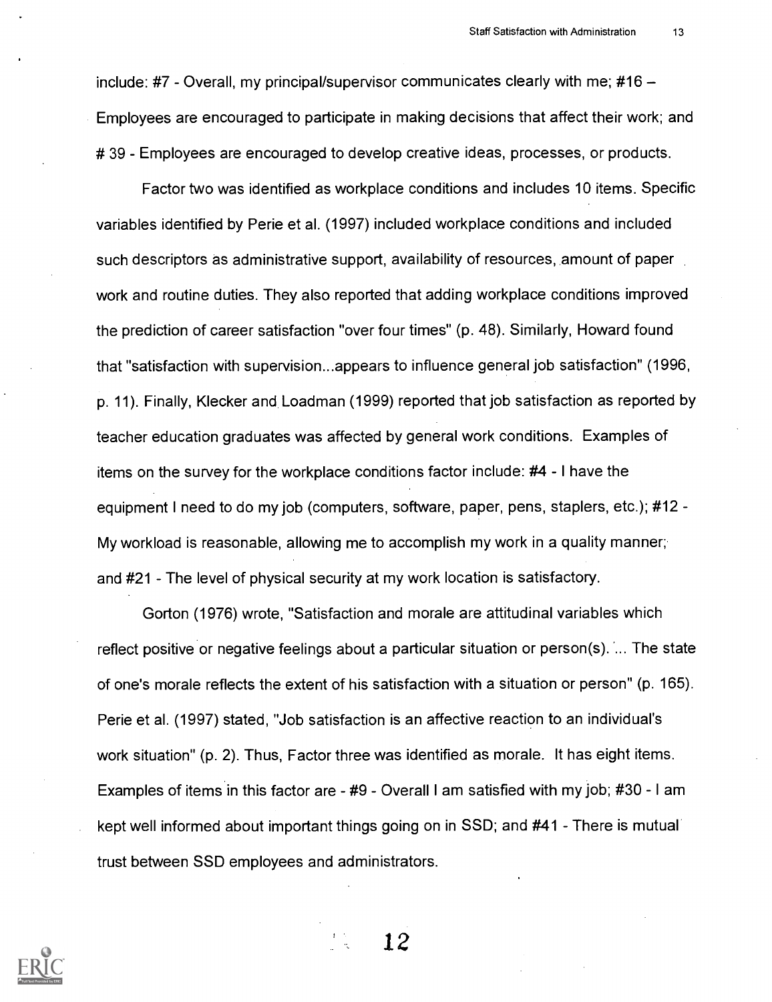include: #7 - Overall, my principal/supervisor communicates clearly with me; #16  $-$ Employees are encouraged to participate in making decisions that affect their work; and # 39 - Employees are encouraged to develop creative ideas, processes, or products.

Factor two was identified as workplace conditions and includes 10 items. Specific variables identified by Perie et al. (1997) included workplace conditions and included such descriptors as administrative support, availability of resources, amount of paper work and routine duties. They also reported that adding workplace conditions improved the prediction of career satisfaction "over four times" (p. 48). Similarly, Howard found that "satisfaction with supervision...appears to influence general job satisfaction" (1996, p. 11). Finally, Klecker and Loadman (1999) reported that job satisfaction as reported by teacher education graduates was affected by general work conditions. Examples of items on the survey for the workplace conditions factor include: #4 - I have the equipment I need to do my job (computers, software, paper, pens, staplers, etc.); #12 - My workload is reasonable, allowing me to accomplish my work in a quality manner; and #21 - The level of physical security at my work location is satisfactory.

Gorton (1976) wrote, "Satisfaction and morale are attitudinal variables which reflect positive or negative feelings about a particular situation or person(s). ... The state of one's morale reflects the extent of his satisfaction with a situation or person" (p. 165). Perie et al. (1997) stated, "Job satisfaction is an affective reaction to an individual's work situation" (p. 2). Thus, Factor three was identified as morale. It has eight items. Examples of items in this factor are  $-$  #9 - Overall I am satisfied with my job; #30 - I am kept well informed about important things going on in SSD; and #41 - There is mutual trust between SSD employees and administrators.

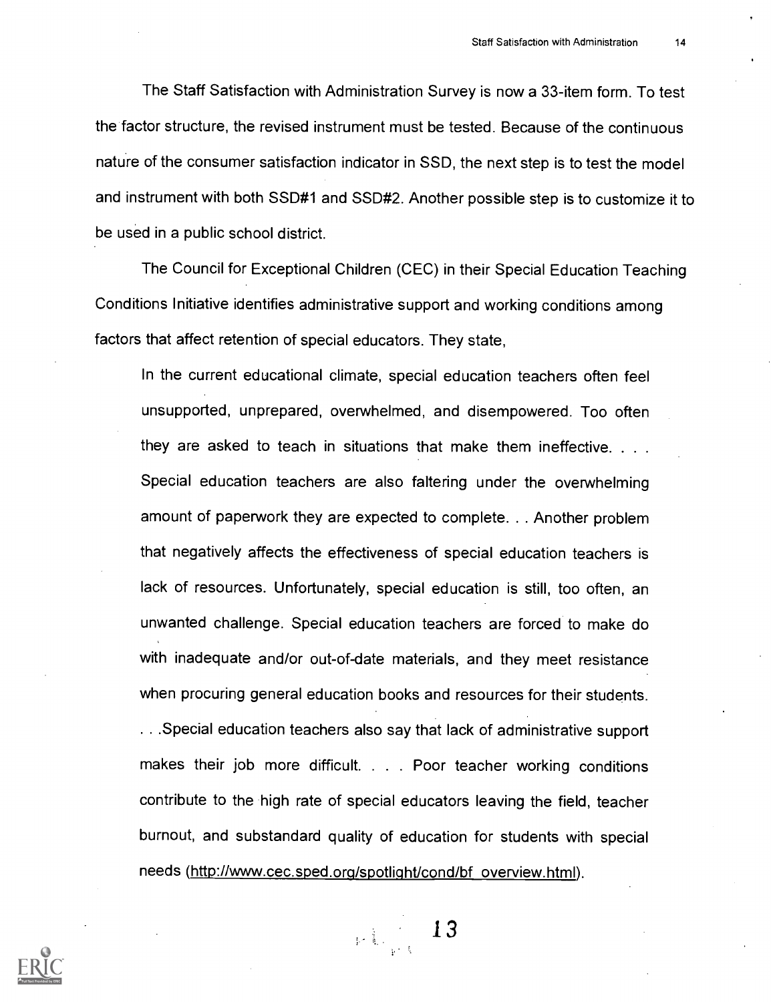The Staff Satisfaction with Administration Survey is now a 33-item form. To test the factor structure, the revised instrument must be tested. Because of the continuous nature of the consumer satisfaction indicator in SSD, the next step is to test the model and instrument with both SSD#1 and SSD#2. Another possible step is to customize it to be used in a public school district.

The Council for Exceptional Children (CEC) in their Special Education Teaching Conditions Initiative identifies administrative support and working conditions among factors that affect retention of special educators. They state,

In the current educational climate, special education teachers often feel unsupported, unprepared, overwhelmed, and disempowered. Too often they are asked to teach in situations that make them ineffective. . . . Special education teachers are also faltering under the overwhelming amount of paperwork they are expected to complete. . . Another problem that negatively affects the effectiveness of special education teachers is lack of resources. Unfortunately, special education is still, too often, an unwanted challenge. Special education teachers are forced to make do with inadequate and/or out-of-date materials, and they meet resistance when procuring general education books and resources for their students.

. . .Special education teachers also say that lack of administrative support makes their job more difficult. . . . Poor teacher working conditions contribute to the high rate of special educators leaving the field, teacher burnout, and substandard quality of education for students with special needs (http://www.cec.sped.org/spotlight/cond/bf overview.html).



 $\mathbb{R}^{\sum_{i=1}^k}$ 13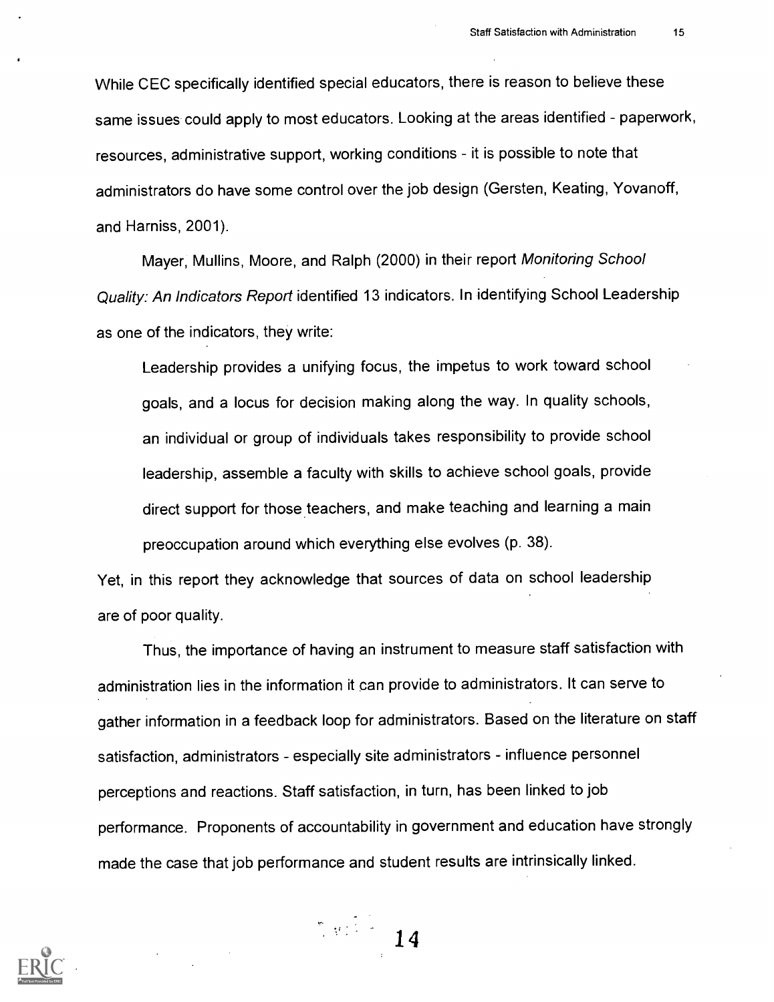While CEC specifically identified special educators, there is reason to believe these same issues could apply to most educators. Looking at the areas identified - paperwork, resources, administrative support, working conditions - it is possible to note that administrators do have some control over the job design (Gersten, Keating, Yovanoff, and Harniss, 2001).

Mayer, Mullins, Moore, and Ralph (2000) in their report Monitoring School Quality: An Indicators Report identified 13 indicators. In identifying School Leadership as one of the indicators, they write:

Leadership provides a unifying focus, the impetus to work toward school goals, and a locus for decision making along the way. In quality schools, an individual or group of individuals takes responsibility to provide school leadership, assemble a faculty with skills to achieve school goals, provide direct support for those teachers, and make teaching and learning a main preoccupation around which everything else evolves (p. 38).

Yet, in this report they acknowledge that sources of data on school leadership are of poor quality.

Thus, the importance of having an instrument to measure staff satisfaction with administration lies in the information it can provide to administrators. It can serve to gather information in a feedback loop for administrators. Based on the literature on staff satisfaction, administrators - especially site administrators - influence personnel perceptions and reactions. Staff satisfaction, in turn, has been linked to job performance. Proponents of accountability in government and education have strongly made the case that job performance and student results are intrinsically linked.

14

 $\sum_{i=1}^n \frac{1}{2} \sum_{j=1}^n \frac{1}{2} \sum_{j=1}^n \frac{1}{2} \sum_{j=1}^n \frac{1}{2} \sum_{j=1}^n \frac{1}{2} \sum_{j=1}^n \frac{1}{2} \sum_{j=1}^n \frac{1}{2} \sum_{j=1}^n \frac{1}{2} \sum_{j=1}^n \frac{1}{2} \sum_{j=1}^n \frac{1}{2} \sum_{j=1}^n \frac{1}{2} \sum_{j=1}^n \frac{1}{2} \sum_{j=1}^n \frac{1}{2} \sum_{j=1}^n \frac{$ 

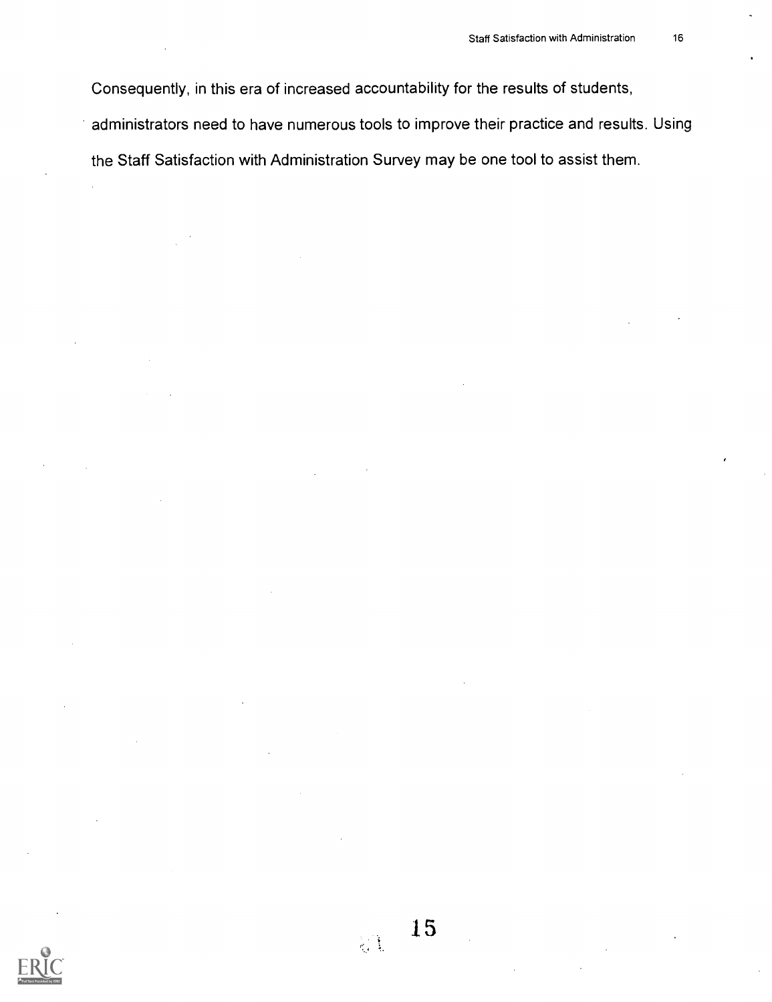Consequently, in this era of increased accountability for the results of students, administrators need to have numerous tools to improve their practice and results. Using the Staff Satisfaction with Administration Survey may be one tool to assist them.

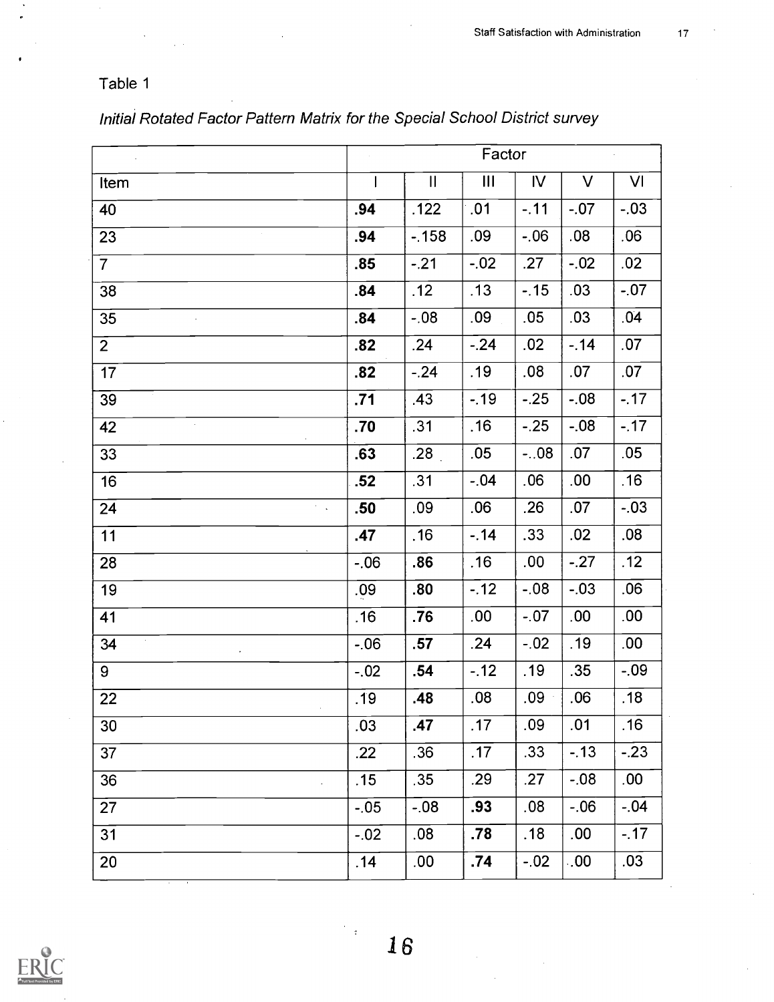## Table 1

 $\bar{z}$ 

|                                                 | Factor |                            |        |               |        |        |
|-------------------------------------------------|--------|----------------------------|--------|---------------|--------|--------|
| Item                                            |        | $\ensuremath{\mathsf{II}}$ | III    | $\mathsf{IV}$ | $\vee$ | VI     |
| 40                                              | .94    | .122                       | .01    | $-11$         | $-07$  | $-.03$ |
| 23                                              | .94    | $-158$                     | .09    | $-06$         | .08    | .06    |
| $\overline{7}$                                  | .85    | $-21$                      | $-.02$ | .27           | $-.02$ | .02    |
| 38                                              | .84    | .12                        | .13    | $-15$         | .03    | $-.07$ |
| 35                                              | .84    | $-0.08$                    | .09    | .05           | .03    | .04    |
| $\overline{2}$                                  | .82    | .24                        | $-.24$ | .02           | $-14$  | .07    |
| 17                                              | .82    | $-.24$                     | .19    | .08           | .07    | .07    |
| 39                                              | .71    | .43                        | $-.19$ | $-25$         | $-08$  | $-.17$ |
| 42<br>$\bar{z}$                                 | .70    | .31                        | .16    | $-.25$        | $-.08$ | $-.17$ |
| 33                                              | .63    | .28 <sub>1</sub>           | .05    | $-.08$        | .07    | .05    |
| 16                                              | .52    | .31                        | $-.04$ | .06           | .00    | .16    |
| 24<br>$\mathcal{F}^{\mathcal{G}}_{\mathcal{A}}$ | .50    | .09                        | .06    | .26           | .07    | $-.03$ |
| 11                                              | .47    | .16                        | $-14$  | .33           | .02    | .08    |
| 28                                              | $-06$  | .86                        | .16    | .00           | $-.27$ | .12    |
| 19                                              | .09    | .80                        | $-12$  | $-08$         | $-03$  | .06    |
| 41                                              | .16    | .76                        | .00    | $-.07$        | .00    | .00    |
| $\epsilon$<br>34                                | $-06$  | .57                        | .24    | $-.02$        | .19    | .00    |
| 9                                               | $-.02$ | .54                        | $-12$  | .19           | .35    | $-09$  |
| 22                                              | .19    | .48                        | .08    | .09           | .06    | .18    |
| 30                                              | .03    | .47                        | .17    | .09           | .01    | .16    |
| 37                                              | .22    | .36                        | .17    | .33           | $-13$  | $-.23$ |
| 36                                              | .15    | .35                        | .29    | .27           | $-.08$ | .00    |
| 27                                              | $-.05$ | $-0.08$                    | .93    | .08           | $-06$  | $-04$  |
| 31                                              | $-.02$ | .08                        | .78    | .18           | .00    | $-.17$ |
| 20                                              | .14    | .00                        | .74    | $-02$         | .00    | .03    |

## Initial Rotated Factor Pattern Matrix for the Special School District survey



 $\frac{1}{2}$  .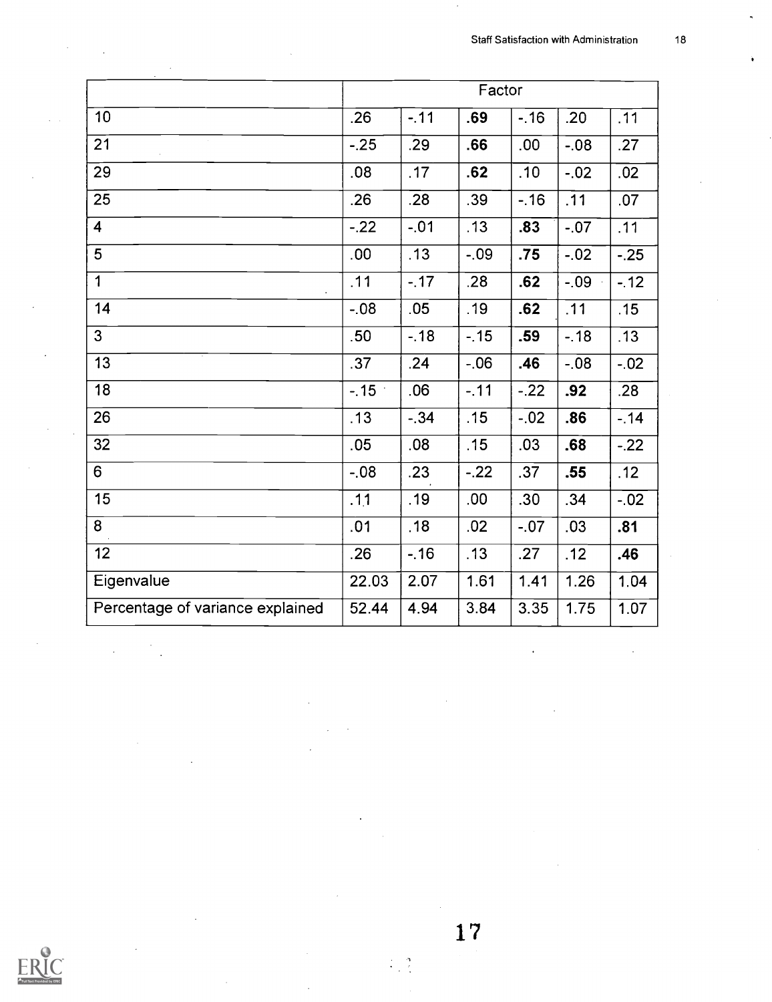|                                  |                  |        | Factor |        |         |        |
|----------------------------------|------------------|--------|--------|--------|---------|--------|
| 10                               | .26              | $-.11$ | .69    | $-16$  | .20     | .11    |
| 21                               | $-.25$           | .29    | .66    | .00    | $-0.08$ | .27    |
| 29                               | .08 <sub>0</sub> | .17    | .62    | .10    | $-02$   | .02    |
| $\overline{25}$                  | .26              | .28    | .39    | $-16$  | .11     | .07    |
| $\overline{\mathbf{4}}$          | $-.22$           | $-.01$ | .13    | .83    | $-.07$  | .11    |
| $\overline{5}$                   | .00.             | .13    | $-.09$ | .75    | $-02$   | $-25$  |
| $\mathbf 1$                      | .11              | $-17$  | .28    | .62    | $-09$   | $-12$  |
| 14                               | $-08$            | .05    | .19    | .62    | .11     | .15    |
| $\overline{3}$                   | .50              | $-.18$ | $-.15$ | .59    | $-18$   | .13    |
| 13                               | .37              | .24    | $-06$  | .46    | $-08$   | $-.02$ |
| 18                               | $-15$            | .06    | $-.11$ | $-.22$ | .92     | .28    |
| 26                               | .13              | $-.34$ | .15    | $-.02$ | .86     | $-14$  |
| 32                               | .05              | .08    | .15    | .03    | .68     | $-22$  |
| 6                                | $-08$            | .23    | $-.22$ | .37    | .55     | .12    |
| 15                               | .11              | .19    | .00    | .30    | .34     | $-02$  |
| $\overline{8}$                   | .01              | .18    | .02    | $-.07$ | .03     | .81    |
| 12                               | .26              | $-16$  | .13    | .27    | .12     | .46    |
| Eigenvalue                       | 22.03            | 2.07   | 1.61   | 1.41   | 1.26    | 1.04   |
| Percentage of variance explained | 52.44            | 4.94   | 3.84   | 3.35   | 1.75    | 1.07   |

 $\frac{1}{2}$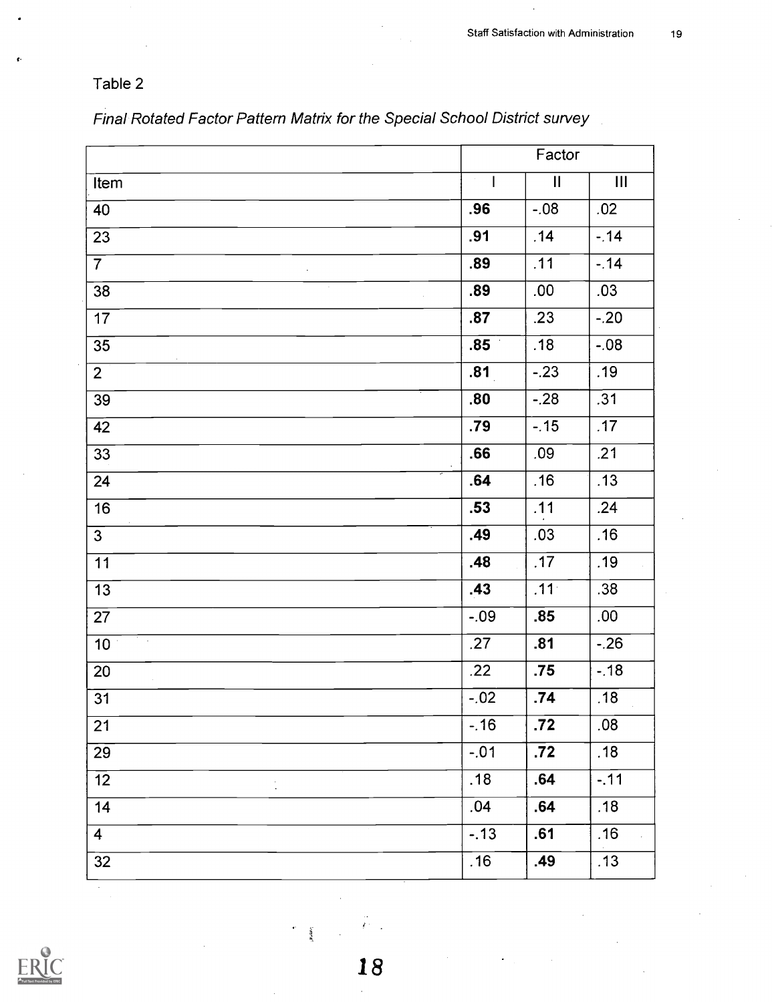# Table 2

| Final Rotated Factor Pattern Matrix for the Special School District survey |  |  |
|----------------------------------------------------------------------------|--|--|
|                                                                            |  |  |

|                            | Factor      |                  |        |
|----------------------------|-------------|------------------|--------|
| Item                       | $\sim$<br>L | $\mathbf{I}$     | Ш      |
| 40                         | .96         | $-.08$           | .02    |
| $\overline{23}$            | .91         | .14              | $-.14$ |
| 7 <sup>1</sup>             | .89         | .11              | $-.14$ |
| 38                         | .89         | .00              | .03    |
| 17                         | .87         | .23              | $-.20$ |
| $\overline{35}$            | .85         | .18              | $-.08$ |
| 2 <sup>1</sup>             | .81         | $-.23$           | .19    |
| 39                         | .80         | $-.28$           | .31    |
| 42                         | .79         | $-15$            | .17    |
| $\overline{33}$            | .66         | .09              | .21    |
| 24                         | .64         | .16              | .13    |
| 16                         | .53         | .11              | .24    |
| $\overline{3}$             | .49         | .03              | .16    |
| $\overline{11}$            | .48         | .17              | .19    |
| $\overline{13}$            | .43         | .11 <sup>°</sup> | .38    |
| 27                         | $-.09$      | .85              | .00.   |
| To all<br>10 <sup>1</sup>  | .27         | .81              | $-26$  |
| 20<br>$\mathcal{L}$        | .22         | .75              | $-.18$ |
| $\overline{31}$            | $-.02$      | .74              | .18    |
| $\overline{21}$            | $-16$       | $\overline{.72}$ | .08    |
| 29                         | $-.01$      | $\overline{.72}$ | .18    |
| 12<br>$\ddot{\phantom{0}}$ | .18         | .64              | $-.11$ |
| 14                         | .04         | .64              | .18    |
| $\overline{4}$             | $-.13$      | .61              | .16    |
| $\overline{32}$            | .16         | .49              | .13    |



ł.

 $\hat{\mathbf{r}}$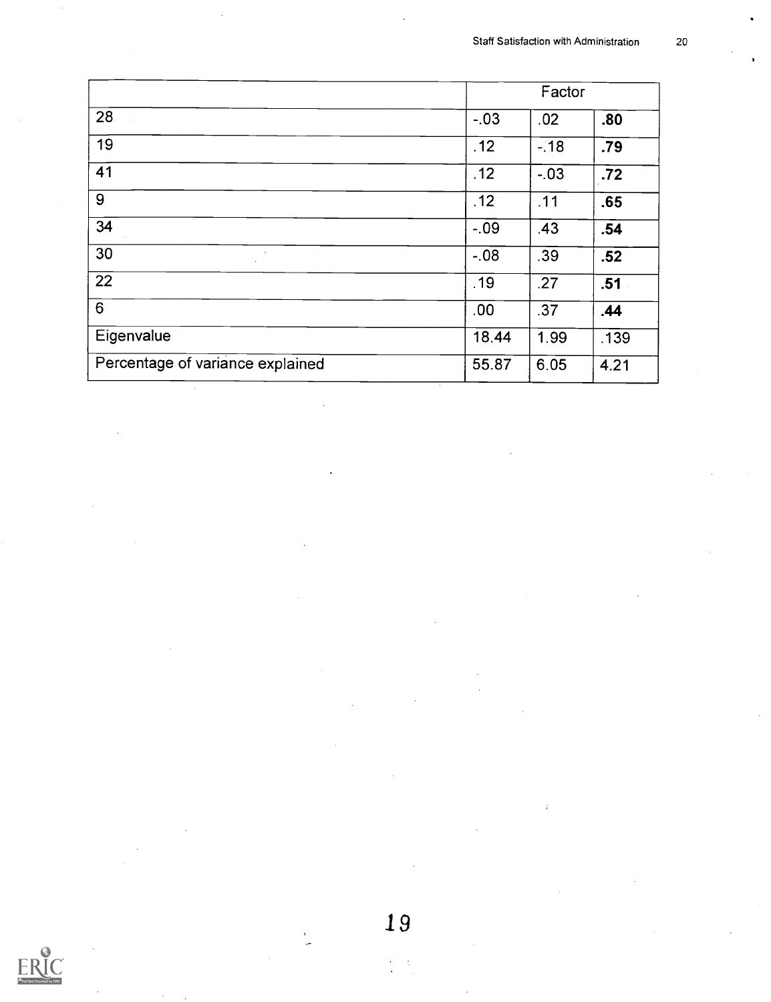|                                  | Factor  |        |      |
|----------------------------------|---------|--------|------|
| 28                               | $-03$   | .02    | .80  |
| 19                               | .12     | $-18$  | .79  |
| 41                               | .12     | $-.03$ | .72  |
| 9                                | .12     | .11    | .65  |
| 34                               | $-0.9$  | .43    | .54  |
| 30                               | $-0.08$ | .39    | .52  |
| 22                               | .19     | .27    | .51  |
| 6                                | .00     | .37    | .44  |
| Eigenvalue                       | 18.44   | 1.99   | .139 |
| Percentage of variance explained | 55.87   | 6.05   | 4.21 |
|                                  |         |        |      |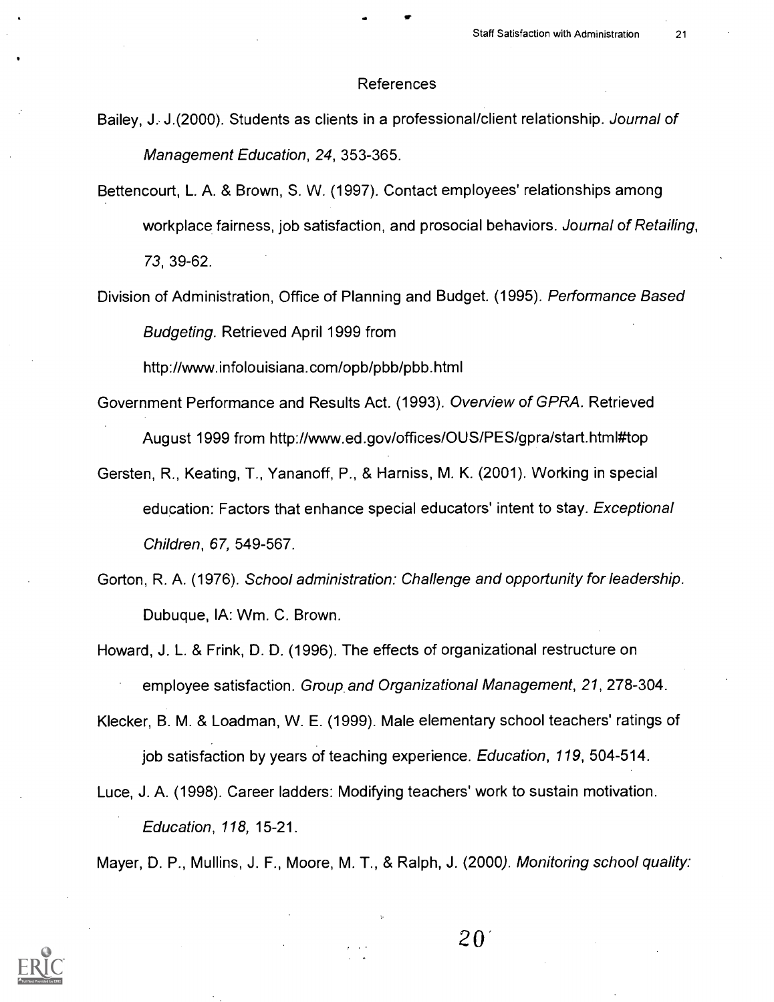#### References

- Bailey, J. J.(2000). Students as clients in a professional/client relationship. Journal of Management Education, 24, 353-365.
- Bettencourt, L. A. & Brown, S. W. (1997). Contact employees' relationships among workplace fairness, job satisfaction, and prosocial behaviors. Journal of Retailing, 73, 39-62.
- Division of Administration, Office of Planning and Budget. (1995). Performance Based Budgeting. Retrieved April 1999 from

http://www.infolouisiana.com/opb/pbb/pbb.html

- Government Performance and Results Act. (1993). Overview of GPRA. Retrieved August 1999 from http://www.ed.gov/offices/OUS/PES/gpra/start.htmlittop
- Gersten, R., Keating, T., Yananoff, P., & Harniss, M. K. (2001). Working in special education: Factors that enhance special educators' intent to stay. Exceptional Children, 67, 549-567.
- Gorton, R. A. (1976). School administration: Challenge and opportunity for leadership. Dubuque, IA: Wm. C. Brown.
- Howard, J. L. & Frink, D. D. (1996). The effects of organizational restructure on employee satisfaction. Group and Organizational Management, 21, 278-304.
- Klecker, B. M. & Loadman, W. E. (1999). Male elementary school teachers' ratings of job satisfaction by years of teaching experience. Education, 119, 504-514.
- Luce, J. A. (1998). Career ladders: Modifying teachers' work to sustain motivation. Education, 118, 15-21.

Mayer, D. P., Mullins, J. F., Moore, M. T., & Ralph, J. (2000). Monitoring school quality:



 $20^{\circ}$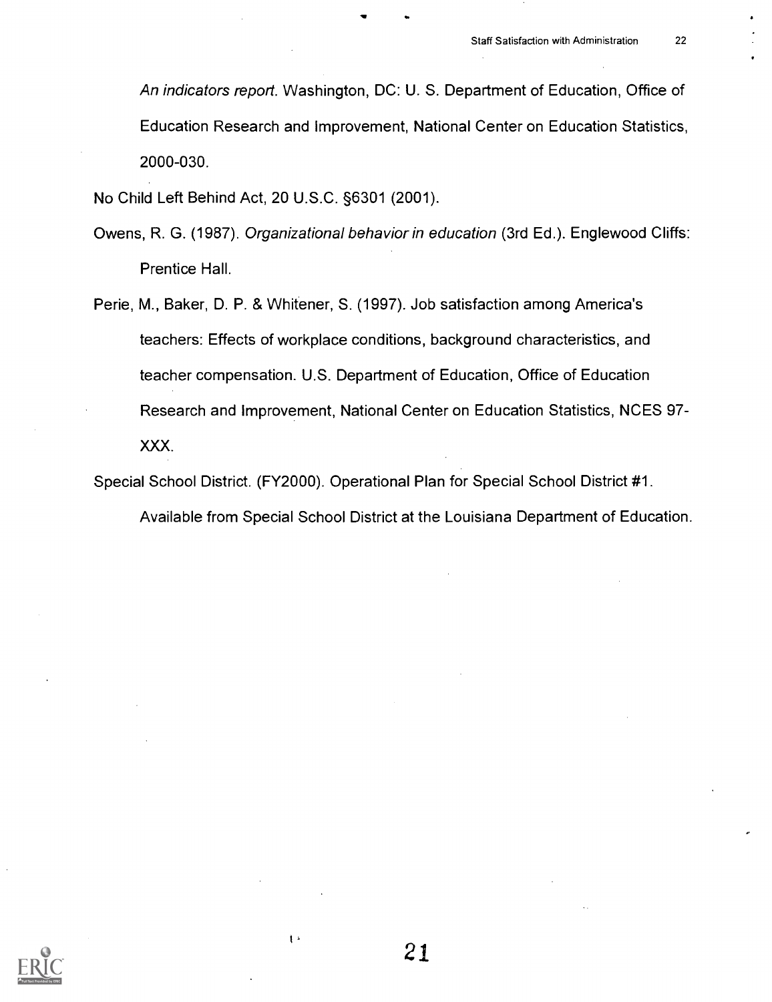An indicators report. Washington, DC: U. S. Department of Education, Office of Education Research and Improvement, National Center on Education Statistics, 2000-030.

No Child Left Behind Act, 20 U.S.C. §6301 (2001).

- Owens, R. G. (1987). Organizational behavior in education (3rd Ed.). Englewood Cliffs: Prentice Hall.
- Perie, M., Baker, D. P. & Whitener, S. (1997). Job satisfaction among America's teachers: Effects of workplace conditions, background characteristics, and teacher compensation. U.S. Department of Education, Office of Education Research and Improvement, National Center on Education Statistics, NCES 97- XXX.

Special School District. (FY2000). Operational Plan for Special School District #1.

Available from Special School District at the Louisiana Department of Education.



21

 $\mathfrak{t}$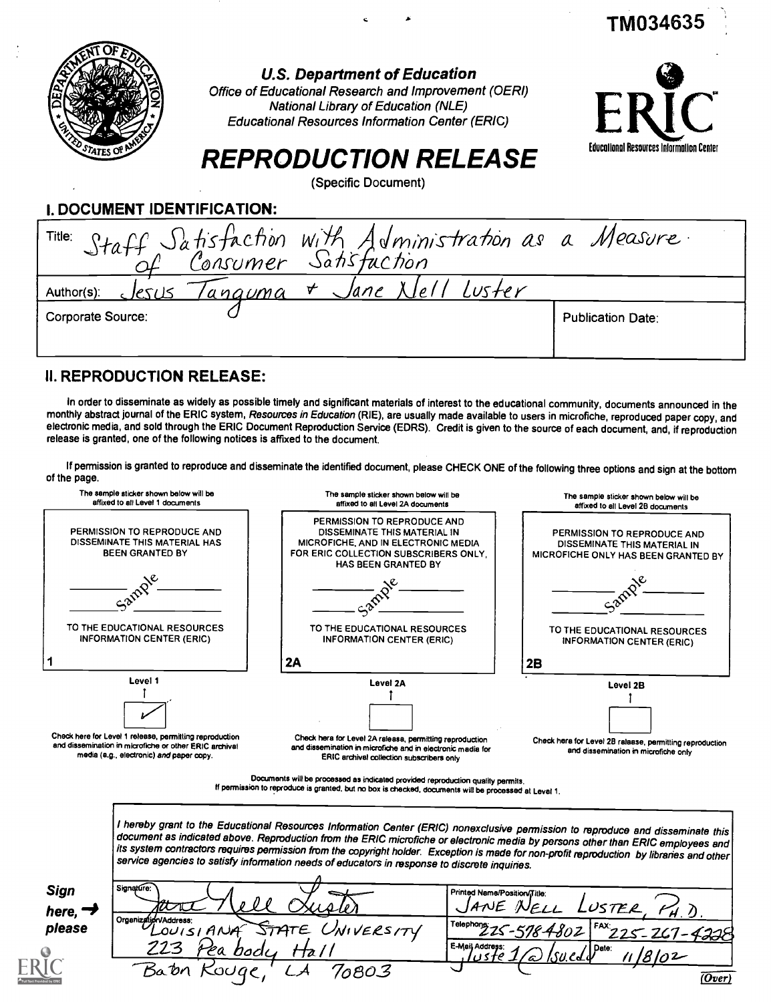|                                    | <b>U.S. Department of Education</b><br>Office of Educational Research and Improvement (OERI)<br><b>National Library of Education (NLE)</b><br><b>Educational Resources Information Center (ERIC)</b> |                                                 |
|------------------------------------|------------------------------------------------------------------------------------------------------------------------------------------------------------------------------------------------------|-------------------------------------------------|
|                                    | <b>REPRODUCTION RELEASE</b>                                                                                                                                                                          | <b>Educational Resources Information Center</b> |
|                                    | (Specific Document)                                                                                                                                                                                  |                                                 |
| <b>I. DOCUMENT IDENTIFICATION:</b> |                                                                                                                                                                                                      |                                                 |
| Title:                             | Staff Satisfaction with Administration as a Measure.<br>Of Consumer Satisfaction                                                                                                                     |                                                 |
| Author(s):<br><u>clesus</u>        | Jane XIel<br>$\mathbf{\nabla}$<br>Luster<br><u>'anguma</u>                                                                                                                                           |                                                 |
| Corporate Source:                  |                                                                                                                                                                                                      | <b>Publication Date:</b>                        |
|                                    |                                                                                                                                                                                                      |                                                 |

<sup>A</sup> TM034635

### II. REPRODUCTION RELEASE:

In order to disseminate as widely as possible timely and significant materials of interest to the educational community, documents announced in the monthly abstract journal of the ERIC system, Resources in Education (RIE), are usually made available to users in microfiche, reproduced paper copy, and electronic media, and sold through the ERIC Document Reproduction Service (EDRS). Credit is given to the source of each document, and, if reproduction release is granted, one of the following notices is affixed to the document.

If permission is granted to reproduce and disseminate the identified document, please CHECK ONE of the following three options and sign at the bottom of the page.



| Sign    | Signature:                                             | Printed Name/Position/Title:                             |
|---------|--------------------------------------------------------|----------------------------------------------------------|
| here, ' | when                                                   | JANE<br>LUSTER<br>NELL                                   |
| please  | Organization/Address:<br>STATE UNIVERSITY<br>LOUISIANA | Telephone 225-578 4802 FAX 225-267-4228                  |
|         | 223<br>ea bodu                                         | E-Mail Address:<br>⁄   Date∶<br>8102<br><u>\?\\`CT\\</u> |
|         | Barn<br>6803<br>souae                                  | (Over)                                                   |
|         |                                                        |                                                          |